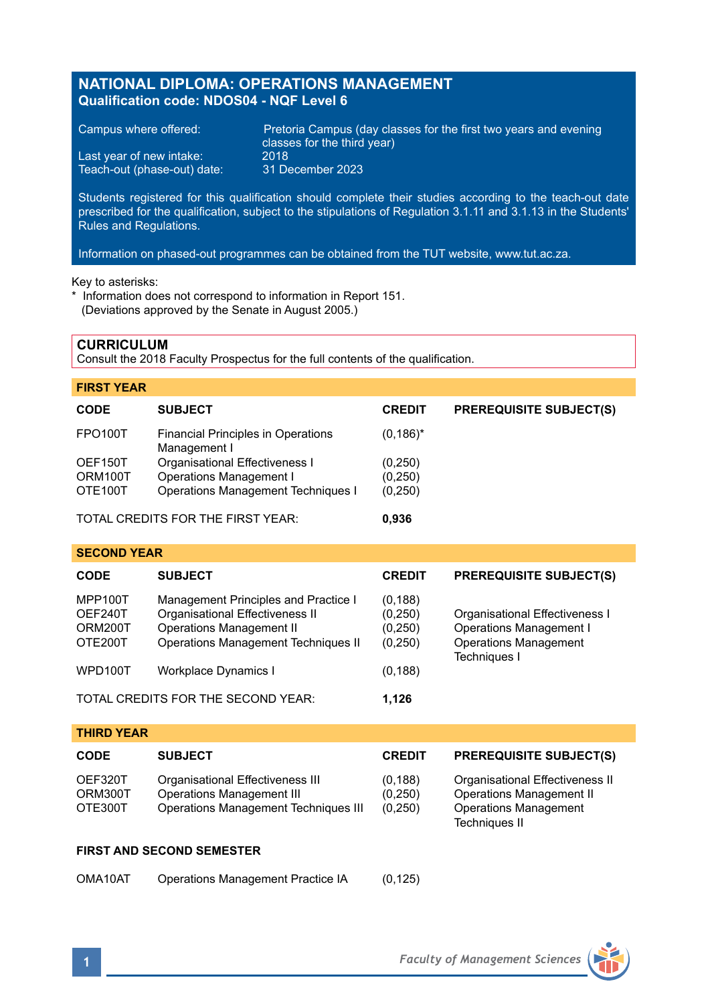# **NATIONAL DIPLOMA: OPERATIONS MANAGEMENT Qualification code: NDOS04 - NQF Level 6**

|  | Campus where offered: |  |
|--|-----------------------|--|
|  |                       |  |

Teach-out (phase-out) date:

Pretoria Campus (day classes for the first two years and evening classes for the third year) Last year of new intake: 2018<br>Teach-out (phase-out) date: 31 December 2023

Students registered for this qualification should complete their studies according to the teach-out date prescribed for the qualification, subject to the stipulations of Regulation 3.1.11 and 3.1.13 in the Students' Rules and Regulations.

Information on phased-out programmes can be obtained from the TUT website, www.tut.ac.za.

Key to asterisks:

\* Information does not correspond to information in Report 151. (Deviations approved by the Senate in August 2005.)

### **CURRICULUM**

Consult the 2018 Faculty Prospectus for the full contents of the qualification.

| <b>FIRST YEAR</b> |                                                           |               |                                |
|-------------------|-----------------------------------------------------------|---------------|--------------------------------|
| <b>CODE</b>       | <b>SUBJECT</b>                                            | <b>CREDIT</b> | <b>PREREQUISITE SUBJECT(S)</b> |
| <b>FPO100T</b>    | <b>Financial Principles in Operations</b><br>Management I | $(0, 186)^*$  |                                |
| OEF150T           | Organisational Effectiveness I                            | (0, 250)      |                                |
| ORM100T           | Operations Management I                                   | (0, 250)      |                                |
| OTE100T           | Operations Management Techniques I                        | (0, 250)      |                                |

TOTAL CREDITS FOR THE FIRST YEAR: **0,936**

## **SECOND YEAR**

| <b>CODE</b>                              | <b>SUBJECT</b>                                                                                                                                           | <b>CREDIT</b>                             | <b>PREREQUISITE SUBJECT(S)</b>                                                                                   |
|------------------------------------------|----------------------------------------------------------------------------------------------------------------------------------------------------------|-------------------------------------------|------------------------------------------------------------------------------------------------------------------|
| MPP100T<br>OEF240T<br>ORM200T<br>OTE200T | Management Principles and Practice I<br>Organisational Effectiveness II<br><b>Operations Management II</b><br><b>Operations Management Techniques II</b> | (0, 188)<br>(0,250)<br>(0,250)<br>(0,250) | Organisational Effectiveness I<br><b>Operations Management I</b><br><b>Operations Management</b><br>Techniques I |
| WPD100T                                  | Workplace Dynamics I                                                                                                                                     | (0, 188)                                  |                                                                                                                  |
|                                          | TOTAL CREDITS FOR THE SECOND YEAR:                                                                                                                       | 1.126                                     |                                                                                                                  |

**THIRD YEAR**

| <b>CODE</b>                   | <b>SUBJECT</b>                                                                                        | <b>CREDIT</b>                  | <b>PREREQUISITE SUBJECT(S)</b>                                                                               |
|-------------------------------|-------------------------------------------------------------------------------------------------------|--------------------------------|--------------------------------------------------------------------------------------------------------------|
| OEF320T<br>ORM300T<br>OTE300T | Organisational Effectiveness III<br>Operations Management III<br>Operations Management Techniques III | (0, 188)<br>(0.250)<br>(0,250) | Organisational Effectiveness II<br>Operations Management II<br><b>Operations Management</b><br>Techniques II |

## **FIRST AND SECOND SEMESTER**

OMA10AT Operations Management Practice IA (0,125)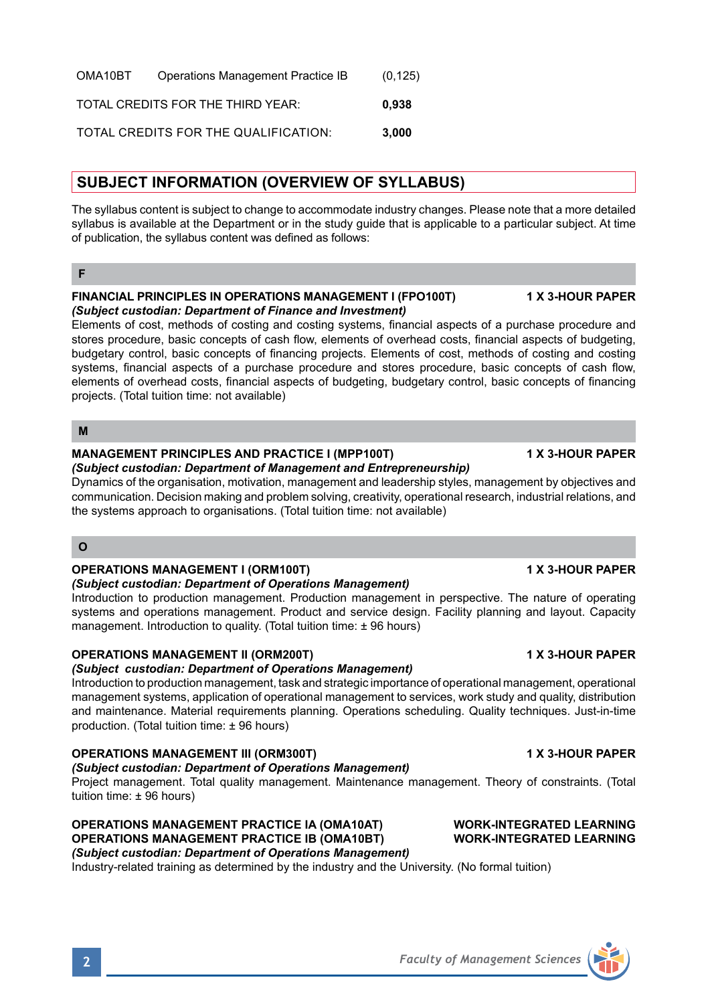| OMA10BT | Operations Management Practice IB    | (0, 125) |
|---------|--------------------------------------|----------|
|         | TOTAL CREDITS FOR THE THIRD YEAR:    | 0.938    |
|         | TOTAL CREDITS FOR THE QUALIFICATION: | 3.000    |

# **SUBJECT INFORMATION (OVERVIEW OF SYLLABUS)**

The syllabus content is subject to change to accommodate industry changes. Please note that a more detailed syllabus is available at the Department or in the study guide that is applicable to a particular subject. At time of publication, the syllabus content was defined as follows:

### **FINANCIAL PRINCIPLES IN OPERATIONS MANAGEMENT I (FPO100T) 1 X 3-HOUR PAPER** *(Subject custodian: Department of Finance and Investment)*

Elements of cost, methods of costing and costing systems, financial aspects of a purchase procedure and stores procedure, basic concepts of cash flow, elements of overhead costs, financial aspects of budgeting, budgetary control, basic concepts of financing projects. Elements of cost, methods of costing and costing systems, financial aspects of a purchase procedure and stores procedure, basic concepts of cash flow, elements of overhead costs, financial aspects of budgeting, budgetary control, basic concepts of financing projects. (Total tuition time: not available)

## **M**

# **MANAGEMENT PRINCIPLES AND PRACTICE I (MPP100T) 1 X 3-HOUR PAPER**

## *(Subject custodian: Department of Management and Entrepreneurship)*

Dynamics of the organisation, motivation, management and leadership styles, management by objectives and communication. Decision making and problem solving, creativity, operational research, industrial relations, and the systems approach to organisations. (Total tuition time: not available)

## **O**

# **OPERATIONS MANAGEMENT I (ORM100T) 1 X 3-HOUR PAPER**

## *(Subject custodian: Department of Operations Management)*

Introduction to production management. Production management in perspective. The nature of operating systems and operations management. Product and service design. Facility planning and layout. Capacity management. Introduction to quality. (Total tuition time: ± 96 hours)

# **OPERATIONS MANAGEMENT II (ORM200T) 1 X 3-HOUR PAPER**

# *(Subject custodian: Department of Operations Management)*

Introduction to production management, task and strategic importance of operational management, operational management systems, application of operational management to services, work study and quality, distribution and maintenance. Material requirements planning. Operations scheduling. Quality techniques. Just-in-time production. (Total tuition time: ± 96 hours)

# **OPERATIONS MANAGEMENT III (ORM300T) 1 X 3-HOUR PAPER**

# *(Subject custodian: Department of Operations Management)*

Project management. Total quality management. Maintenance management. Theory of constraints. (Total tuition time: ± 96 hours)

**OPERATIONS MANAGEMENT PRACTICE IA (OMA10AT) WORK-INTEGRATED LEARNING OPERATIONS MANAGEMENT PRACTICE IB (OMA10BT)** *(Subject custodian: Department of Operations Management)*

Industry-related training as determined by the industry and the University. (No formal tuition)

**F**